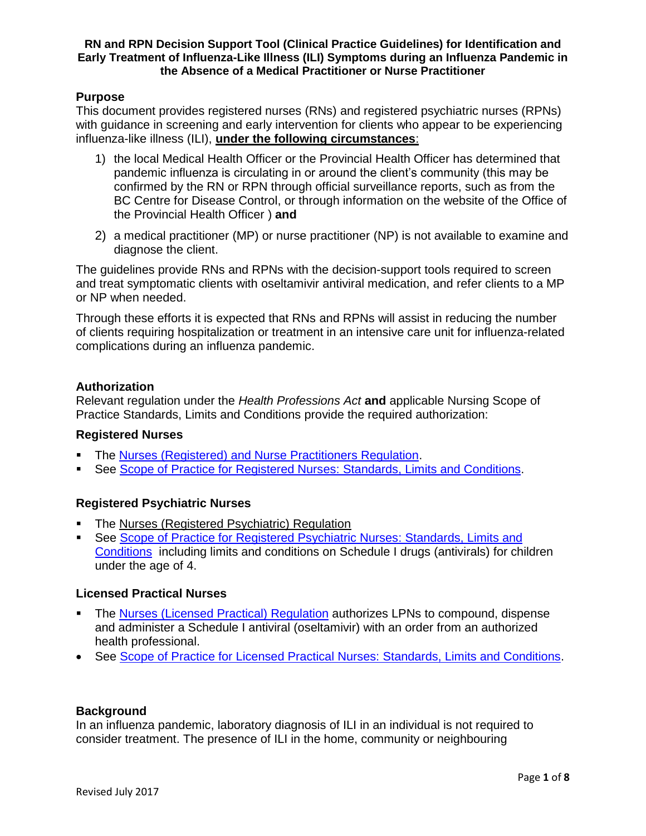# **Purpose**

This document provides registered nurses (RNs) and registered psychiatric nurses (RPNs) with guidance in screening and early intervention for clients who appear to be experiencing influenza-like illness (ILI), **under the following circumstances**:

- 1) the local Medical Health Officer or the Provincial Health Officer has determined that pandemic influenza is circulating in or around the client's community (this may be confirmed by the RN or RPN through official surveillance reports, such as from the BC Centre for Disease Control, or through information on the website of the Office of the Provincial Health Officer ) **and**
- 2) a medical practitioner (MP) or nurse practitioner (NP) is not available to examine and diagnose the client.

The guidelines provide RNs and RPNs with the decision-support tools required to screen and treat symptomatic clients with oseltamivir antiviral medication, and refer clients to a MP or NP when needed.

Through these efforts it is expected that RNs and RPNs will assist in reducing the number of clients requiring hospitalization or treatment in an intensive care unit for influenza-related complications during an influenza pandemic.

#### **Authorization**

Relevant regulation under the *Health Professions Act* **and** applicable Nursing Scope of Practice Standards, Limits and Conditions provide the required authorization:

#### **Registered Nurses**

- The [Nurses \(Registered\) and Nurse Practitioners Regulation.](http://www.bclaws.ca/civix/document/id/complete/statreg/284_2008)
- See [Scope of Practice for Registered Nurses:](https://crnbc.ca/Standards/Lists/StandardResources/433ScopeforRegisteredNurses.pdf) Standards, Limits and Conditions.

#### **Registered Psychiatric Nurses**

- The [Nurses \(Registered Psychiatric\) Regulation](http://www.bclaws.ca/civix/document/id/complete/statreg/227_2015)
- See [Scope of Practice for Registered Psychiatric Nurses:](http://www.crpnbc.ca/wp-content/uploads/2017/02/2016-03-15-Revised-Scope-with-disclaimer-updated-Feb-13-2017.pdf) Standards, Limits and [Conditions](http://www.crpnbc.ca/wp-content/uploads/2017/02/2016-03-15-Revised-Scope-with-disclaimer-updated-Feb-13-2017.pdf) including limits and conditions on Schedule I drugs (antivirals) for children under the age of 4.

#### **Licensed Practical Nurses**

- The [Nurses \(Licensed Practical\) Regulation](http://www.bclaws.ca/civix/document/id/complete/statreg/224_2015) authorizes LPNs to compound, dispense and administer a Schedule I antiviral (oseltamivir) with an order from an authorized health professional.
- See Scope of Practice for Licensed Practical Nurses: [Standards, Limits and Conditions.](https://clpnbc.org/Documents/Practice-Support-Documents/Scope-of-Practice-ONLINE.aspx)

#### **Background**

In an influenza pandemic, laboratory diagnosis of ILI in an individual is not required to consider treatment. The presence of ILI in the home, community or neighbouring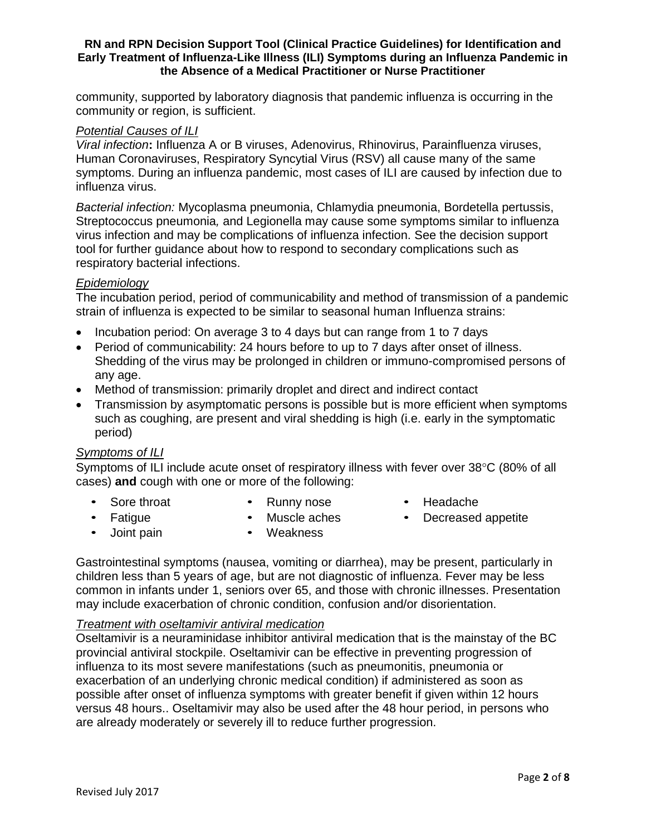community, supported by laboratory diagnosis that pandemic influenza is occurring in the community or region, is sufficient.

### *Potential Causes of ILI*

*Viral infection***:** Influenza A or B viruses, Adenovirus, Rhinovirus, Parainfluenza viruses, Human Coronaviruses, Respiratory Syncytial Virus (RSV) all cause many of the same symptoms. During an influenza pandemic, most cases of ILI are caused by infection due to influenza virus.

*Bacterial infection:* Mycoplasma pneumonia, Chlamydia pneumonia, Bordetella pertussis, Streptococcus pneumonia*,* and Legionella may cause some symptoms similar to influenza virus infection and may be complications of influenza infection. See the decision support tool for further guidance about how to respond to secondary complications such as respiratory bacterial infections.

# *Epidemiology*

The incubation period, period of communicability and method of transmission of a pandemic strain of influenza is expected to be similar to seasonal human Influenza strains:

- Incubation period: On average 3 to 4 days but can range from 1 to 7 days
- Period of communicability: 24 hours before to up to 7 days after onset of illness. Shedding of the virus may be prolonged in children or immuno-compromised persons of any age.
- Method of transmission: primarily droplet and direct and indirect contact
- Transmission by asymptomatic persons is possible but is more efficient when symptoms such as coughing, are present and viral shedding is high (i.e. early in the symptomatic period)

# *Symptoms of ILI*

Symptoms of ILI include acute onset of respiratory illness with fever over  $38^{\circ}$ C (80% of all cases) **and** cough with one or more of the following:

- Sore throat Runny nose Headache
- 
- 

- - Joint pain Weakness
- Fatigue Muscle aches Decreased appetite
- Gastrointestinal symptoms (nausea, vomiting or diarrhea), may be present, particularly in children less than 5 years of age, but are not diagnostic of influenza. Fever may be less common in infants under 1, seniors over 65, and those with chronic illnesses. Presentation may include exacerbation of chronic condition, confusion and/or disorientation.

#### *Treatment with oseltamivir antiviral medication*

Oseltamivir is a neuraminidase inhibitor antiviral medication that is the mainstay of the BC provincial antiviral stockpile. Oseltamivir can be effective in preventing progression of influenza to its most severe manifestations (such as pneumonitis, pneumonia or exacerbation of an underlying chronic medical condition) if administered as soon as possible after onset of influenza symptoms with greater benefit if given within 12 hours versus 48 hours.. Oseltamivir may also be used after the 48 hour period, in persons who are already moderately or severely ill to reduce further progression.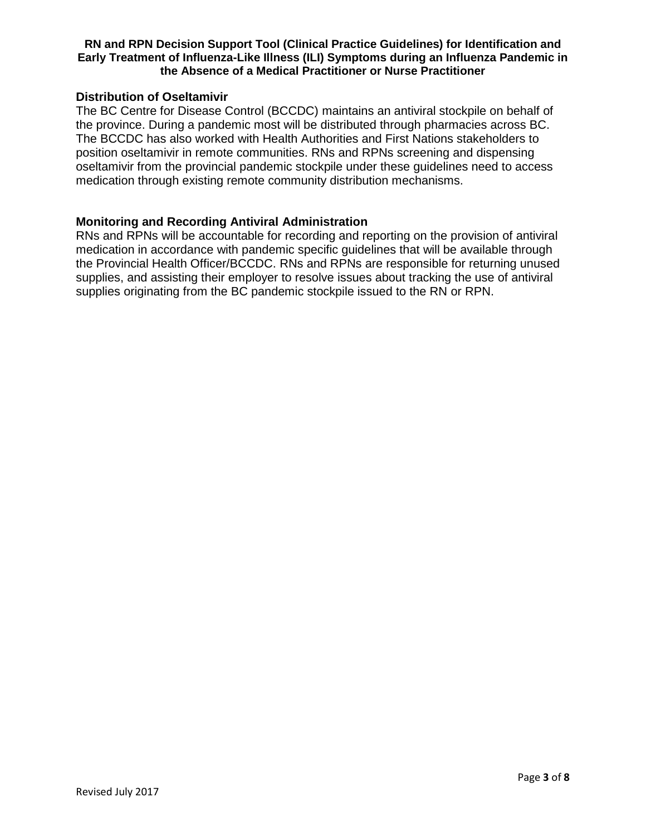### **Distribution of Oseltamivir**

The BC Centre for Disease Control (BCCDC) maintains an antiviral stockpile on behalf of the province. During a pandemic most will be distributed through pharmacies across BC. The BCCDC has also worked with Health Authorities and First Nations stakeholders to position oseltamivir in remote communities. RNs and RPNs screening and dispensing oseltamivir from the provincial pandemic stockpile under these guidelines need to access medication through existing remote community distribution mechanisms.

### **Monitoring and Recording Antiviral Administration**

RNs and RPNs will be accountable for recording and reporting on the provision of antiviral medication in accordance with pandemic specific guidelines that will be available through the Provincial Health Officer/BCCDC. RNs and RPNs are responsible for returning unused supplies, and assisting their employer to resolve issues about tracking the use of antiviral supplies originating from the BC pandemic stockpile issued to the RN or RPN.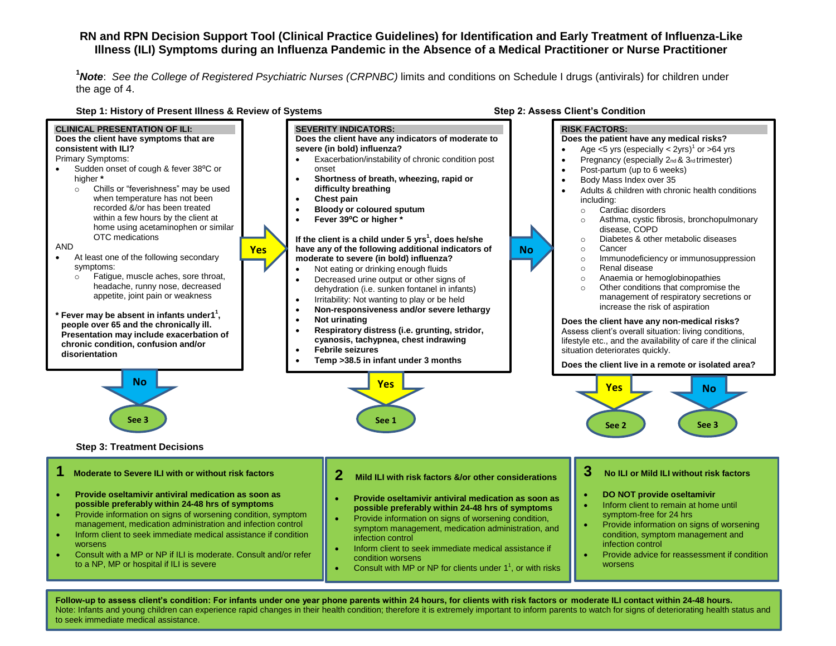**<sup>1</sup>***Note*: *See the College of Registered Psychiatric Nurses (CRPNBC)* limits and conditions on Schedule I drugs (antivirals) for children under the age of 4.



**Follow-up to assess client's condition: For infants under one year phone parents within 24 hours, for clients with risk factors or moderate ILI contact within 24-48 hours.** Note: Infants and young children can experience rapid changes in their health condition; therefore it is extremely important to inform parents to watch for signs of deteriorating health status and to seek immediate medical assistance.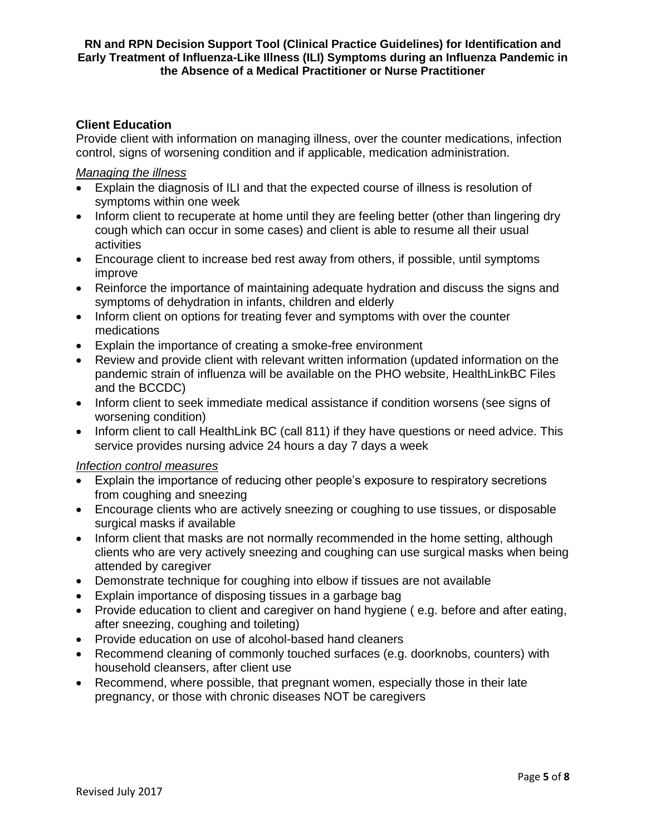# **Client Education**

Provide client with information on managing illness, over the counter medications, infection control, signs of worsening condition and if applicable, medication administration.

## *Managing the illness*

- Explain the diagnosis of ILI and that the expected course of illness is resolution of symptoms within one week
- Inform client to recuperate at home until they are feeling better (other than lingering dry cough which can occur in some cases) and client is able to resume all their usual activities
- Encourage client to increase bed rest away from others, if possible, until symptoms improve
- Reinforce the importance of maintaining adequate hydration and discuss the signs and symptoms of dehydration in infants, children and elderly
- Inform client on options for treating fever and symptoms with over the counter medications
- Explain the importance of creating a smoke-free environment
- Review and provide client with relevant written information (updated information on the pandemic strain of influenza will be available on the PHO website, HealthLinkBC Files and the BCCDC)
- Inform client to seek immediate medical assistance if condition worsens (see signs of worsening condition)
- Inform client to call HealthLink BC (call 811) if they have questions or need advice. This service provides nursing advice 24 hours a day 7 days a week

# *Infection control measures*

- Explain the importance of reducing other people's exposure to respiratory secretions from coughing and sneezing
- Encourage clients who are actively sneezing or coughing to use tissues, or disposable surgical masks if available
- Inform client that masks are not normally recommended in the home setting, although clients who are very actively sneezing and coughing can use surgical masks when being attended by caregiver
- Demonstrate technique for coughing into elbow if tissues are not available
- Explain importance of disposing tissues in a garbage bag
- Provide education to client and caregiver on hand hygiene (e.g. before and after eating, after sneezing, coughing and toileting)
- Provide education on use of alcohol-based hand cleaners
- Recommend cleaning of commonly touched surfaces (e.g. doorknobs, counters) with household cleansers, after client use
- Recommend, where possible, that pregnant women, especially those in their late pregnancy, or those with chronic diseases NOT be caregivers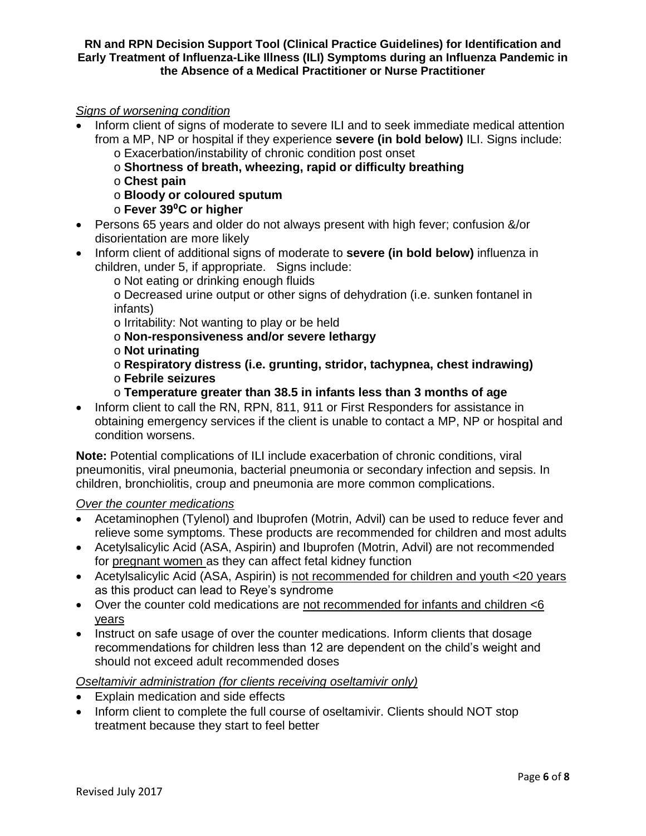# *Signs of worsening condition*

- Inform client of signs of moderate to severe ILI and to seek immediate medical attention from a MP, NP or hospital if they experience **severe (in bold below)** ILI. Signs include:
	- o Exacerbation/instability of chronic condition post onset
	- o **Shortness of breath, wheezing, rapid or difficulty breathing**
	- o **Chest pain**
	- o **Bloody or coloured sputum**
	- o **Fever 39**⁰**C or higher**
- Persons 65 years and older do not always present with high fever; confusion &/or disorientation are more likely
- Inform client of additional signs of moderate to **severe (in bold below)** influenza in children, under 5, if appropriate. Signs include:
	- o Not eating or drinking enough fluids

o Decreased urine output or other signs of dehydration (i.e. sunken fontanel in infants)

- o Irritability: Not wanting to play or be held
- o **Non-responsiveness and/or severe lethargy**
- o **Not urinating**
- o **Respiratory distress (i.e. grunting, stridor, tachypnea, chest indrawing)**  o **Febrile seizures**
- o **Temperature greater than 38.5 in infants less than 3 months of age**
- Inform client to call the RN, RPN, 811, 911 or First Responders for assistance in obtaining emergency services if the client is unable to contact a MP, NP or hospital and condition worsens.

**Note:** Potential complications of ILI include exacerbation of chronic conditions, viral pneumonitis, viral pneumonia, bacterial pneumonia or secondary infection and sepsis. In children, bronchiolitis, croup and pneumonia are more common complications.

# *Over the counter medications*

- Acetaminophen (Tylenol) and Ibuprofen (Motrin, Advil) can be used to reduce fever and relieve some symptoms. These products are recommended for children and most adults
- Acetylsalicylic Acid (ASA, Aspirin) and Ibuprofen (Motrin, Advil) are not recommended for pregnant women as they can affect fetal kidney function
- Acetylsalicylic Acid (ASA, Aspirin) is not recommended for children and youth <20 years as this product can lead to Reye's syndrome
- Over the counter cold medications are not recommended for infants and children <6 years
- Instruct on safe usage of over the counter medications. Inform clients that dosage recommendations for children less than 12 are dependent on the child's weight and should not exceed adult recommended doses

# *Oseltamivir administration (for clients receiving oseltamivir only)*

- Explain medication and side effects
- Inform client to complete the full course of oseltamivir. Clients should NOT stop treatment because they start to feel better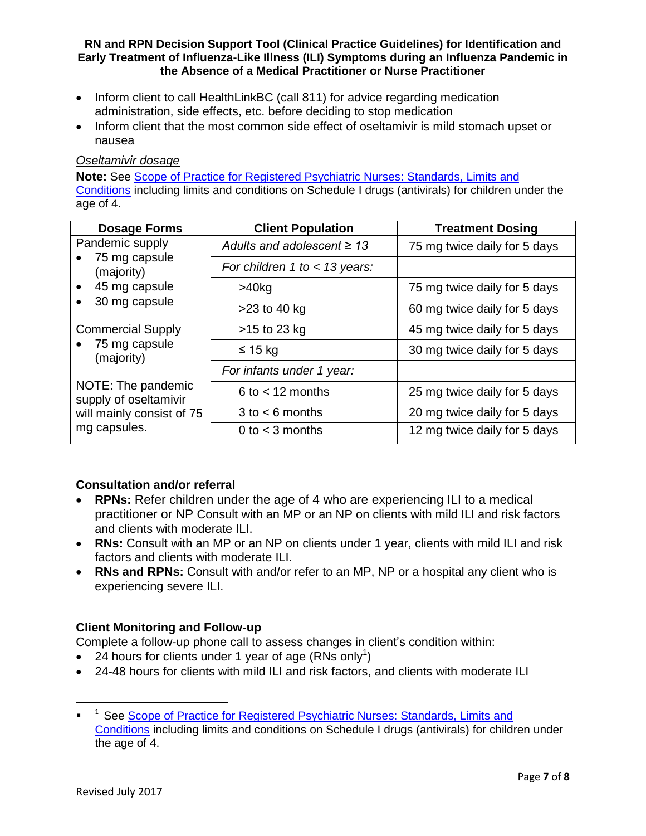- Inform client to call HealthLinkBC (call 811) for advice regarding medication administration, side effects, etc. before deciding to stop medication
- Inform client that the most common side effect of oseltamivir is mild stomach upset or nausea

## *Oseltamivir dosage*

**Note:** See [Scope of Practice for Registered Psychiatric Nurses:](http://www.crpnbc.ca/wp-content/uploads/2017/02/2016-03-15-Revised-Scope-with-disclaimer-updated-Feb-13-2017.pdf) Standards, Limits and [Conditions](http://www.crpnbc.ca/wp-content/uploads/2017/02/2016-03-15-Revised-Scope-with-disclaimer-updated-Feb-13-2017.pdf) including limits and conditions on Schedule I drugs (antivirals) for children under the age of 4.

| Dosage Forms                                                                                  | <b>Client Population</b>        | <b>Treatment Dosing</b>      |
|-----------------------------------------------------------------------------------------------|---------------------------------|------------------------------|
| Pandemic supply<br>75 mg capsule<br>(majority)<br>45 mg capsule<br>$\bullet$<br>30 mg capsule | Adults and adolescent $\geq 13$ | 75 mg twice daily for 5 days |
|                                                                                               | For children 1 to $<$ 13 years: |                              |
|                                                                                               | $>40$ kg                        | 75 mg twice daily for 5 days |
|                                                                                               | $>23$ to 40 kg                  | 60 mg twice daily for 5 days |
| <b>Commercial Supply</b><br>75 mg capsule<br>(majority)                                       | $>15$ to 23 kg                  | 45 mg twice daily for 5 days |
|                                                                                               | ≤ 15 kg                         | 30 mg twice daily for 5 days |
|                                                                                               | For infants under 1 year:       |                              |
| NOTE: The pandemic<br>supply of oseltamivir<br>will mainly consist of 75<br>mg capsules.      | $6$ to $<$ 12 months            | 25 mg twice daily for 5 days |
|                                                                                               | $3$ to $<$ 6 months             | 20 mg twice daily for 5 days |
|                                                                                               | 0 to $<$ 3 months               | 12 mg twice daily for 5 days |

# **Consultation and/or referral**

- **RPNs:** Refer children under the age of 4 who are experiencing ILI to a medical practitioner or NP Consult with an MP or an NP on clients with mild ILI and risk factors and clients with moderate ILI.
- **RNs:** Consult with an MP or an NP on clients under 1 year, clients with mild ILI and risk factors and clients with moderate ILI.
- RNs and RPNs: Consult with and/or refer to an MP, NP or a hospital any client who is experiencing severe ILI.

# **Client Monitoring and Follow-up**

Complete a follow-up phone call to assess changes in client's condition within:

- 24 hours for clients under 1 year of age (RNs only<sup>1</sup>)
- 24-48 hours for clients with mild ILI and risk factors, and clients with moderate ILI

l

<sup>&</sup>lt;sup>1</sup> See [Scope of Practice for Registered Psychiatric Nurses:](http://www.crpnbc.ca/wp-content/uploads/2017/02/2016-03-15-Revised-Scope-with-disclaimer-updated-Feb-13-2017.pdf) Standards, Limits and [Conditions](http://www.crpnbc.ca/wp-content/uploads/2017/02/2016-03-15-Revised-Scope-with-disclaimer-updated-Feb-13-2017.pdf) including limits and conditions on Schedule I drugs (antivirals) for children under the age of 4.